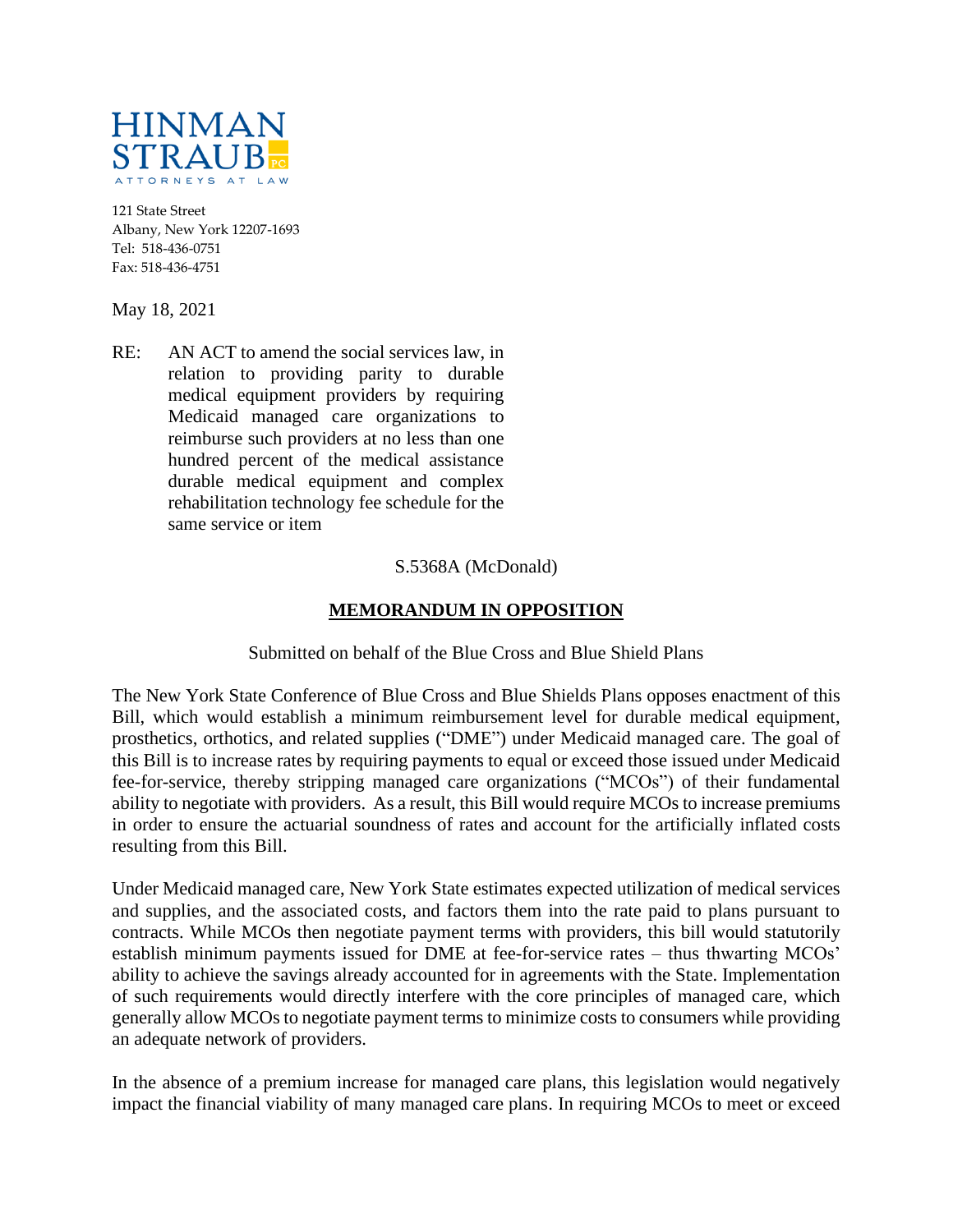

121 State Street Albany, New York 12207-1693 Tel: 518-436-0751 Fax: 518-436-4751

May 18, 2021

RE: AN ACT to amend the social services law, in relation to providing parity to durable medical equipment providers by requiring Medicaid managed care organizations to reimburse such providers at no less than one hundred percent of the medical assistance durable medical equipment and complex rehabilitation technology fee schedule for the same service or item

## S.5368A (McDonald)

## **MEMORANDUM IN OPPOSITION**

## Submitted on behalf of the Blue Cross and Blue Shield Plans

The New York State Conference of Blue Cross and Blue Shields Plans opposes enactment of this Bill, which would establish a minimum reimbursement level for durable medical equipment, prosthetics, orthotics, and related supplies ("DME") under Medicaid managed care. The goal of this Bill is to increase rates by requiring payments to equal or exceed those issued under Medicaid fee-for-service, thereby stripping managed care organizations ("MCOs") of their fundamental ability to negotiate with providers. As a result, this Bill would require MCOs to increase premiums in order to ensure the actuarial soundness of rates and account for the artificially inflated costs resulting from this Bill.

Under Medicaid managed care, New York State estimates expected utilization of medical services and supplies, and the associated costs, and factors them into the rate paid to plans pursuant to contracts. While MCOs then negotiate payment terms with providers, this bill would statutorily establish minimum payments issued for DME at fee-for-service rates – thus thwarting MCOs' ability to achieve the savings already accounted for in agreements with the State. Implementation of such requirements would directly interfere with the core principles of managed care, which generally allow MCOs to negotiate payment terms to minimize costs to consumers while providing an adequate network of providers.

In the absence of a premium increase for managed care plans, this legislation would negatively impact the financial viability of many managed care plans. In requiring MCOs to meet or exceed